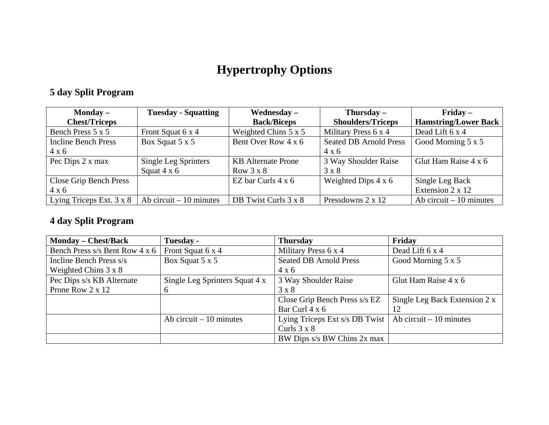## **Hypertrophy Options**

## **5 day Split Program**

| Monday $-$                 | <b>Tuesday - Squatting</b> | Wednesday $-$               | Thursday $-$                  | $Fridav -$                  |
|----------------------------|----------------------------|-----------------------------|-------------------------------|-----------------------------|
| <b>Chest/Triceps</b>       |                            | <b>Back/Biceps</b>          | <b>Shoulders/Triceps</b>      | <b>Hamstring/Lower Back</b> |
| Bench Press 5 x 5          | Front Squat 6 x 4          | Weighted Chins $5 \times 5$ | Military Press 6 x 4          | Dead Lift 6 x 4             |
| <b>Incline Bench Press</b> | Box Squat 5 x 5            | Bent Over Row 4 x 6         | <b>Seated DB Arnold Press</b> | Good Morning 5 x 5          |
| $4 \times 6$               |                            |                             | $4 \times 6$                  |                             |
| Pec Dips 2 x max           | Single Leg Sprinters       | <b>KB</b> Alternate Prone   | 3 Way Shoulder Raise          | Glut Ham Raise 4 x 6        |
|                            | Squat $4 \times 6$         | Row $3 \times 8$            | $3 \times 8$                  |                             |
| Close Grip Bench Press     |                            | EZ bar Curls $4 \times 6$   | Weighted Dips $4 \times 6$    | Single Leg Back             |
| $4 \times 6$               |                            |                             |                               | Extension 2 x 12            |
| Lying Triceps Ext. 3 x 8   | Ab circuit $-10$ minutes   | DB Twist Curls 3 x 8        | Pressdowns 2 x 12             | Ab circuit $-10$ minutes    |

## **4 day Split Program**

| <b>Monday – Chest/Back</b>     | Tuesday -                      | <b>Thursday</b>                | Friday                        |
|--------------------------------|--------------------------------|--------------------------------|-------------------------------|
| Bench Press s/s Bent Row 4 x 6 | Front Squat 6 x 4              | Military Press 6 x 4           | Dead Lift 6 x 4               |
| Incline Bench Press s/s        | Box Squat 5 x 5                | <b>Seated DB Arnold Press</b>  | Good Morning 5 x 5            |
| Weighted Chins $3 \times 8$    |                                | $4 \times 6$                   |                               |
| Pec Dips s/s KB Alternate      | Single Leg Sprinters Squat 4 x | 3 Way Shoulder Raise           | Glut Ham Raise 4 x 6          |
| Prone Row $2 \times 12$        | 6                              | $3 \times 8$                   |                               |
|                                |                                | Close Grip Bench Press s/s EZ  | Single Leg Back Extension 2 x |
|                                |                                | Bar Curl 4 x 6                 | 12                            |
|                                | Ab circuit $-10$ minutes       | Lying Triceps Ext s/s DB Twist | Ab circuit $-10$ minutes      |
|                                |                                | Curls $3 \times 8$             |                               |
|                                |                                | BW Dips s/s BW Chins 2x max    |                               |